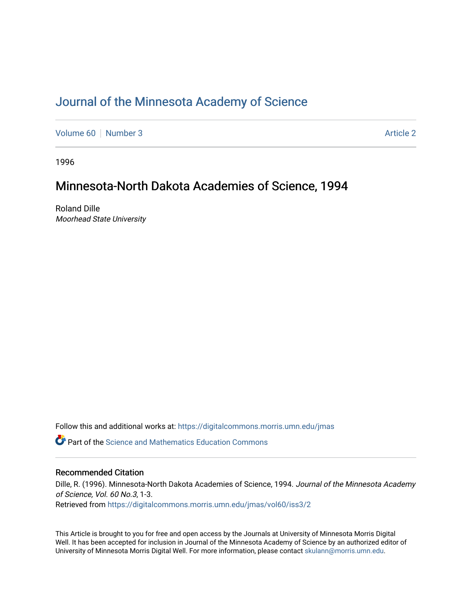## [Journal of the Minnesota Academy of Science](https://digitalcommons.morris.umn.edu/jmas)

[Volume 60](https://digitalcommons.morris.umn.edu/jmas/vol60) [Number 3](https://digitalcommons.morris.umn.edu/jmas/vol60/iss3) [Article 2](https://digitalcommons.morris.umn.edu/jmas/vol60/iss3/2) Article 2

1996

## Minnesota-North Dakota Academies of Science, 1994

Roland Dille Moorhead State University

Follow this and additional works at: [https://digitalcommons.morris.umn.edu/jmas](https://digitalcommons.morris.umn.edu/jmas?utm_source=digitalcommons.morris.umn.edu%2Fjmas%2Fvol60%2Fiss3%2F2&utm_medium=PDF&utm_campaign=PDFCoverPages) 

 $\bullet$  Part of the Science and Mathematics Education Commons

#### Recommended Citation

Dille, R. (1996). Minnesota-North Dakota Academies of Science, 1994. Journal of the Minnesota Academy of Science, Vol. 60 No.3, 1-3.

Retrieved from [https://digitalcommons.morris.umn.edu/jmas/vol60/iss3/2](https://digitalcommons.morris.umn.edu/jmas/vol60/iss3/2?utm_source=digitalcommons.morris.umn.edu%2Fjmas%2Fvol60%2Fiss3%2F2&utm_medium=PDF&utm_campaign=PDFCoverPages)

This Article is brought to you for free and open access by the Journals at University of Minnesota Morris Digital Well. It has been accepted for inclusion in Journal of the Minnesota Academy of Science by an authorized editor of University of Minnesota Morris Digital Well. For more information, please contact [skulann@morris.umn.edu](mailto:skulann@morris.umn.edu).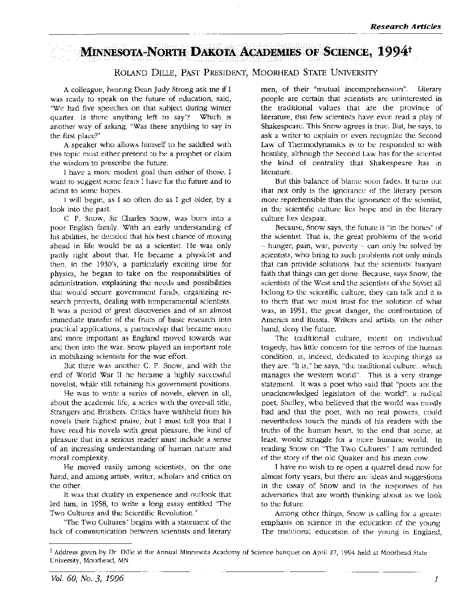# MINNESOTA-NORTH DAKOTA ACADEMIES OF SCIENCE, 1994<sup>+</sup>

### ROLAND DILLE, PAST PRESIDENT, MOORHEAD STATE UNIVERSITY

A colleague, hearing Dean Judy Strong ask me if I was ready to speak on the future of education, said, "We had five speeches on that subject during winter quarter. Is there anything left to say"? Which is another way of asking, "Was there anything to say in the first place?"

A speaker who allows himself to be saddled with this topic must either pretend to be a prophet or claim the wisdom to prescribe the future.

I have a more modest goal than either of those. I want to suggest some fears I have for the future and to admit to some hopes.

I will begin, as I so often do as I get older, by a look into the past.

C. P. Snow, Sir Charles Snow, was born into a poor English family. With an early understanding of his abilities, he decided that his best chance of moving ahead in life would be as a scientist. He was only partly right about that. He became a physicist and then, in the 1930's, a particularly exciting time for physics, he began to take on the responsibilities of administration, explaining the needs and possibilities that would secure government funds, organizing research projects, dealing with temperamental scientists. It was a period of great discoveries and of an almost immediate transfer of the fruits of basic research into practical applications, a partnership that became more and more important as England moved towards war and then into the war. Snow played an important role in mobilizing scientists for the war effort.

But there was another C. P. Snow, and with the end of World War II he became a highly successful novelist, while still retaining his government positions.

He was to write a series of novels, eleven in all, about the academic life, a series with the over-all title, Strangers and Brothers. Critics have withheld from his novels their highest praise, but I must tell you that I have read his novels with great pleasure, the kind of pleasure that in a serious reader must include a sense of an increasing understanding of human nature and moral complexity.

He moved easily among scientists, on the one hand, and among artists, writer, scholars and critics on the other.

It was that duality in experience and outlook that led him, in 1958, to write a long essay entitled "The Two Cultures and the Scientific Revolution."

"The Two Cultures" begins with a statement of the lack of communication between scientists and literary men, of their "mutual incomprehension". Literary people are certain that scientists are uninterested in the traditional values that are the province of literature, that few scientists have even read a play of Shakespeare. This Snow agrees is true. But, he says, to ask a writer to explain or even recognize the Second Law of Thermodynamics is to be responded to with hostility, although the Second Law has for the scientist the kind of centrality that Shakespeare has in literature.

But this balance of blame soon fades. It turns out that not only is the ignorance of the literary person more reprehensible than the ignorance of the scientist, in the scientific culture lies hope and in the literary culture lies despair.

Because, Snow says, the future is "in the bones" of the scientist. That is, the great problems of the world  $-$  hunger, pain, war, poverty  $-$  can only be solved by scientists, who bring to such problems not only minds that can provide solutions, but the scientists' buoyant faith that things can get done. Because, says Snow, the scientists of the West and the scientists of the Soviet all belong to the scientific culture, they can talk and it is to them that we must trust for the solution of what was, in 1951, the great danger, the confrontation of America and Russia. Writers and artists, on the other hand, deny the future.

The traditional culture, intent on individual tragedy, has little concern for the terrors of the human condition, is, indeed, dedicated to keeping things as they are. "It is," he says, "the traditional culture ... which manages the western world". This is a very strange statement. It was a poet who said that "poets are the unacknowledged legislators of the world"; a radical poet, Shelley, who believed that the world was mostly bad and that the poet, with no real powers, could nevertheless touch the minds of his readers with the truths of the human heart, to the end that some, at least, would struggle for a more humane world. In reading Snow on "The Two Cultures" I am reminded of the story of the old Quaker and his mean cow.

I have no wish to re-open a quarrel dead now for almost forty years, but there are ideas and suggestions in the essay of Snow and in the responses of his adversaries that are worth thinking about as we look to the future.

Among other things, Snow is calling for a greater emphasis on science in the education of the young. The traditional education of the young in England,

t Address given by Dr. Dille at the Annual Minnesota Academy of Science banquet on April 27, 1994 held at Moorhead State University, Moorhead, MN.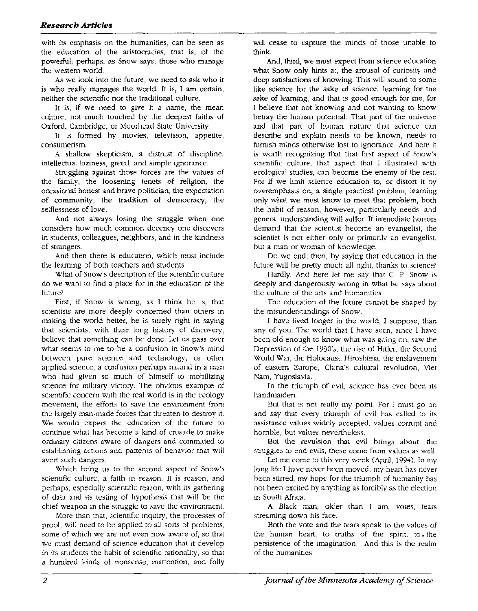with its emphasis on the humanities, can be seen as the education of the aristocracies, that is, of the powerful; perhaps, as Snow says, those who manage the western world.

As we look into the future, we need to ask who it is who really manages the world. It is, I am certain, neither the scientific nor the traditional culture.

It is, if we need to give it a name, the mean culture, not much touched by the deepest faiths of Oxford, Cambridge, or Moorhead State University.

It is formed by movies, television, appetite, consumerism.

A shallow skepticism, a distrust of discipline, intellectual laziness, greed, and simple ignorance.

Struggling against those forces are the values of the family, the loosening tenets of religion, the occasional honest and brave politician, the expectation of community, the tradition of democracy, the selflessness of love.

And not always losing the struggle when one considers how much common decency one discovers in students, colleagues, neighbors, and in the kindness of strangers.

And then there is education, which must include the learning of both teachers and students.

What of Snow's description of the scientific culture do we want to find a place for in the education of the future?

First, if Snow is wrong, as I think he is, that scientists are more deeply concerned than others in making the world better, he is surely right in saying that scientists, with their long history of discovery, believe that something can be done. Let us pass over what seems to me to be a confusion in Snow's mind between pure science and technology, or other applied science, a confusion perhaps natural in a man who had given so much of himself to mobilizing science for military victory. The obvious example of scientific concern with the real world is in the ecology movement, the efforts to save the environment from the largely man-made forces that threaten to destroy it. We would expect the education of the future to continue what has become a kind of crusade to make ordinary citizens aware of dangers and committed to establishing actions and patterns of behavior that will avert such dangers.

Which bring us to the second aspect of Snow's scientific culture, a faith in reason. It is reason, and perhaps, especially scientific reason, with its gathering of data and its testing of hypothesis that will be the chief weapon in the struggle to save the environment.

More than that, scientific inquiry, the processes of proof, will need to be applied to all sorts of problems, some of which we are not even now aware of, so that we must demand of science education that it develop in its students the habit of scientific rationality, so that a hundred kinds of nonsense, inattention, and folly will cease to capture the minds of those unable to think.

And, third, we must expect from science education what Snow only hints at, the arousal of curiosity and deep satisfactions of knowing. This will sound to some like science for the sake of science, learning for the sake of learning, and that is good enough for me, for I believe that not knowing and not wanting to know betray the human potential. That part of the universe and that part of human nature that science can describe and explain needs to be known, needs to furnish minds otherwise lost to ignorance. And here it is worth recognizing that that first aspect of Snow's scientific culture, that aspect that I illustrated with ecological studies, can become the enemy of the rest. For if we limit science education to, or distort it by overemphasis on, a single practical problem, learning only what we must know to meet that problem, both the habit of reason, however, particularly needs, and general understanding will suffer. If immediate horrors demand that the scientist become an evangelist, the scientist is not either only or primarily an evangelist, but a man or woman of knowledge.

Do we end, then, by saying that education in the future will be pretty much all right, thanks to science?

Hardly. And here let me say that C. P. Snow is deeply and dangerously wrong in what he says about the culture of the arts and humanities

The education of the future cannot be shaped by the misunderstandings of Snow.

I have lived longer in the world, I suppose, than any of you. The world that I have seen, since I have been old enough to know what was going on, saw the Depression of the 1930's, the rise of Hitler, the Second World War, the Holocaust, Hiroshima, the enslavement of eastern Europe, China's cultural revolution, Viet Nam, Yugoslavia.

In the triumph of evil, science has ever been its handmaiden.

But that is not really my point. For I must go on and say that every triumph of evil has called to its assistance values widely accepted, values corrupt and horrible, but values nevertheless.

But the revulsion that evil brings about, the struggles to end evils, these come from values as well.

Let me come to this very week (April, 1994). In my long life I have never been moved, my heart has never been stirred, my hope for the triumph of humanity has not been excited by anything as forcibly as the election in South Africa.

A Black man, older than I am, votes, tears streaming down his face.

Both the vote and the tears speak to the values of the human heart, to truths of the spirit, to • the persistence of the imagination. And this is the realm of the humanities.